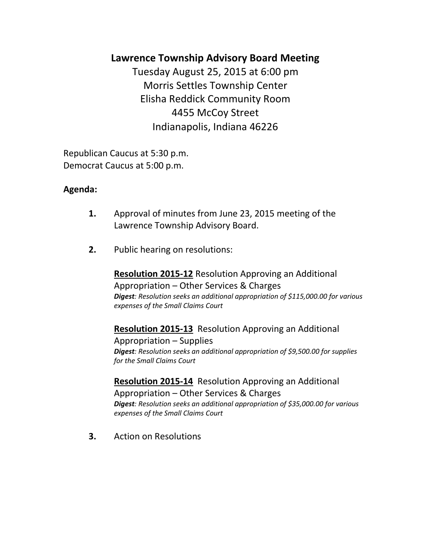# **Lawrence Township Advisory Board Meeting**

Tuesday August 25, 2015 at 6:00 pm Morris Settles Township Center Elisha Reddick Community Room 4455 McCoy Street Indianapolis, Indiana 46226

Republican Caucus at 5:30 p.m. Democrat Caucus at 5:00 p.m.

# **Agenda:**

- **1.** Approval of minutes from June 23, 2015 meeting of the Lawrence Township Advisory Board.
- **2.** Public hearing on resolutions:

**Resolution 2015-12** Resolution Approving an Additional Appropriation – Other Services & Charges *Digest: Resolution seeks an additional appropriation of \$115,000.00 for various expenses of the Small Claims Court* 

**Resolution 2015-13** Resolution Approving an Additional Appropriation – Supplies

*Digest: Resolution seeks an additional appropriation of \$9,500.00 for supplies for the Small Claims Court*

**Resolution 2015-14** Resolution Approving an Additional Appropriation – Other Services & Charges *Digest: Resolution seeks an additional appropriation of \$35,000.00 for various expenses of the Small Claims Court*

**3.** Action on Resolutions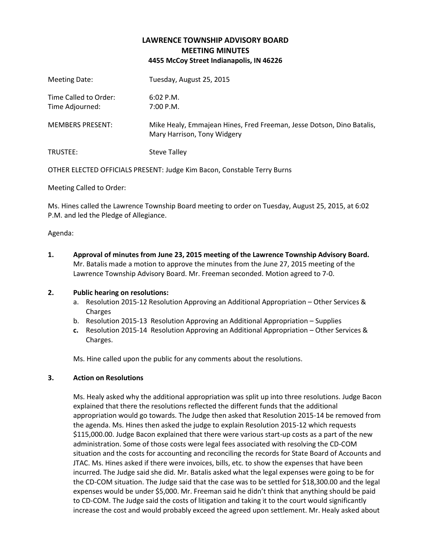## **LAWRENCE TOWNSHIP ADVISORY BOARD MEETING MINUTES 4455 McCoy Street Indianapolis, IN 46226**

| Meeting Date:                            | Tuesday, August 25, 2015                                                                             |
|------------------------------------------|------------------------------------------------------------------------------------------------------|
| Time Called to Order:<br>Time Adjourned: | $6:02$ P.M.<br>7:00 P.M.                                                                             |
| <b>MEMBERS PRESENT:</b>                  | Mike Healy, Emmajean Hines, Fred Freeman, Jesse Dotson, Dino Batalis,<br>Mary Harrison, Tony Widgery |
| TRUSTEE:                                 | <b>Steve Talley</b>                                                                                  |

OTHER ELECTED OFFICIALS PRESENT: Judge Kim Bacon, Constable Terry Burns

Meeting Called to Order:

Ms. Hines called the Lawrence Township Board meeting to order on Tuesday, August 25, 2015, at 6:02 P.M. and led the Pledge of Allegiance.

Agenda:

**1. Approval of minutes from June 23, 2015 meeting of the Lawrence Township Advisory Board.** Mr. Batalis made a motion to approve the minutes from the June 27, 2015 meeting of the Lawrence Township Advisory Board. Mr. Freeman seconded. Motion agreed to 7-0.

### **2. Public hearing on resolutions:**

- a. Resolution 2015-12 Resolution Approving an Additional Appropriation Other Services & Charges
- b. Resolution 2015-13 Resolution Approving an Additional Appropriation Supplies
- **c.** Resolution 2015-14 Resolution Approving an Additional Appropriation Other Services & Charges.

Ms. Hine called upon the public for any comments about the resolutions.

### **3. Action on Resolutions**

Ms. Healy asked why the additional appropriation was split up into three resolutions. Judge Bacon explained that there the resolutions reflected the different funds that the additional appropriation would go towards. The Judge then asked that Resolution 2015-14 be removed from the agenda. Ms. Hines then asked the judge to explain Resolution 2015-12 which requests \$115,000.00. Judge Bacon explained that there were various start-up costs as a part of the new administration. Some of those costs were legal fees associated with resolving the CD-COM situation and the costs for accounting and reconciling the records for State Board of Accounts and JTAC. Ms. Hines asked if there were invoices, bills, etc. to show the expenses that have been incurred. The Judge said she did. Mr. Batalis asked what the legal expenses were going to be for the CD-COM situation. The Judge said that the case was to be settled for \$18,300.00 and the legal expenses would be under \$5,000. Mr. Freeman said he didn't think that anything should be paid to CD-COM. The Judge said the costs of litigation and taking it to the court would significantly increase the cost and would probably exceed the agreed upon settlement. Mr. Healy asked about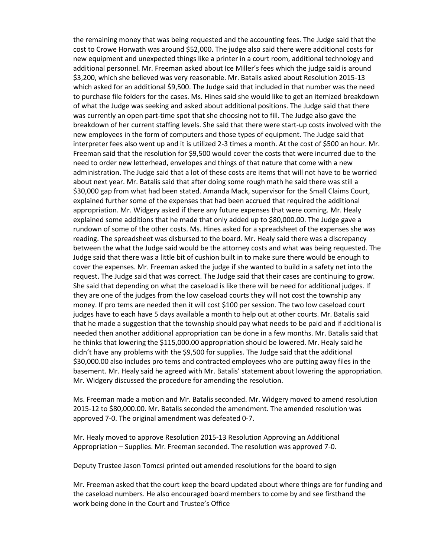the remaining money that was being requested and the accounting fees. The Judge said that the cost to Crowe Horwath was around \$52,000. The judge also said there were additional costs for new equipment and unexpected things like a printer in a court room, additional technology and additional personnel. Mr. Freeman asked about Ice Miller's fees which the judge said is around \$3,200, which she believed was very reasonable. Mr. Batalis asked about Resolution 2015-13 which asked for an additional \$9,500. The Judge said that included in that number was the need to purchase file folders for the cases. Ms. Hines said she would like to get an itemized breakdown of what the Judge was seeking and asked about additional positions. The Judge said that there was currently an open part-time spot that she choosing not to fill. The Judge also gave the breakdown of her current staffing levels. She said that there were start-up costs involved with the new employees in the form of computers and those types of equipment. The Judge said that interpreter fees also went up and it is utilized 2-3 times a month. At the cost of \$500 an hour. Mr. Freeman said that the resolution for \$9,500 would cover the costs that were incurred due to the need to order new letterhead, envelopes and things of that nature that come with a new administration. The Judge said that a lot of these costs are items that will not have to be worried about next year. Mr. Batalis said that after doing some rough math he said there was still a \$30,000 gap from what had been stated. Amanda Mack, supervisor for the Small Claims Court, explained further some of the expenses that had been accrued that required the additional appropriation. Mr. Widgery asked if there any future expenses that were coming. Mr. Healy explained some additions that he made that only added up to \$80,000.00. The Judge gave a rundown of some of the other costs. Ms. Hines asked for a spreadsheet of the expenses she was reading. The spreadsheet was disbursed to the board. Mr. Healy said there was a discrepancy between the what the Judge said would be the attorney costs and what was being requested. The Judge said that there was a little bit of cushion built in to make sure there would be enough to cover the expenses. Mr. Freeman asked the judge if she wanted to build in a safety net into the request. The Judge said that was correct. The Judge said that their cases are continuing to grow. She said that depending on what the caseload is like there will be need for additional judges. If they are one of the judges from the low caseload courts they will not cost the township any money. If pro tems are needed then it will cost \$100 per session. The two low caseload court judges have to each have 5 days available a month to help out at other courts. Mr. Batalis said that he made a suggestion that the township should pay what needs to be paid and if additional is needed then another additional appropriation can be done in a few months. Mr. Batalis said that he thinks that lowering the \$115,000.00 appropriation should be lowered. Mr. Healy said he didn't have any problems with the \$9,500 for supplies. The Judge said that the additional \$30,000.00 also includes pro tems and contracted employees who are putting away files in the basement. Mr. Healy said he agreed with Mr. Batalis' statement about lowering the appropriation. Mr. Widgery discussed the procedure for amending the resolution.

Ms. Freeman made a motion and Mr. Batalis seconded. Mr. Widgery moved to amend resolution 2015-12 to \$80,000.00. Mr. Batalis seconded the amendment. The amended resolution was approved 7-0. The original amendment was defeated 0-7.

Mr. Healy moved to approve Resolution 2015-13 Resolution Approving an Additional Appropriation – Supplies. Mr. Freeman seconded. The resolution was approved 7-0.

Deputy Trustee Jason Tomcsi printed out amended resolutions for the board to sign

Mr. Freeman asked that the court keep the board updated about where things are for funding and the caseload numbers. He also encouraged board members to come by and see firsthand the work being done in the Court and Trustee's Office